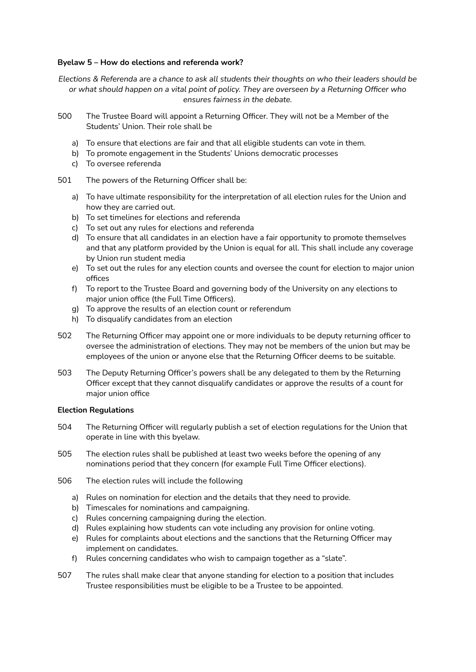# **Byelaw 5 – How do elections and referenda work?**

Elections & Referenda are a chance to ask all students their thoughts on who their leaders should be *or what should happen on a vital point of policy. They are overseen by a Returning Officer who ensures fairness in the debate.*

- 500 The Trustee Board will appoint a Returning Officer. They will not be a Member of the Students' Union. Their role shall be
	- a) To ensure that elections are fair and that all eligible students can vote in them.
	- b) To promote engagement in the Students' Unions democratic processes
	- c) To oversee referenda
- 501 The powers of the Returning Officer shall be:
	- a) To have ultimate responsibility for the interpretation of all election rules for the Union and how they are carried out.
	- b) To set timelines for elections and referenda
	- c) To set out any rules for elections and referenda
	- d) To ensure that all candidates in an election have a fair opportunity to promote themselves and that any platform provided by the Union is equal for all. This shall include any coverage by Union run student media
	- e) To set out the rules for any election counts and oversee the count for election to major union offices
	- f) To report to the Trustee Board and governing body of the University on any elections to major union office (the Full Time Officers).
	- g) To approve the results of an election count or referendum
	- h) To disqualify candidates from an election
- 502 The Returning Officer may appoint one or more individuals to be deputy returning officer to oversee the administration of elections. They may not be members of the union but may be employees of the union or anyone else that the Returning Officer deems to be suitable.
- 503 The Deputy Returning Officer's powers shall be any delegated to them by the Returning Officer except that they cannot disqualify candidates or approve the results of a count for major union office

## **Election Regulations**

- 504 The Returning Officer will regularly publish a set of election regulations for the Union that operate in line with this byelaw.
- 505 The election rules shall be published at least two weeks before the opening of any nominations period that they concern (for example Full Time Officer elections).
- 506 The election rules will include the following
	- a) Rules on nomination for election and the details that they need to provide.
	- b) Timescales for nominations and campaigning.
	- c) Rules concerning campaigning during the election.
	- d) Rules explaining how students can vote including any provision for online voting.
	- e) Rules for complaints about elections and the sanctions that the Returning Officer may implement on candidates.
	- f) Rules concerning candidates who wish to campaign together as a "slate".
- 507 The rules shall make clear that anyone standing for election to a position that includes Trustee responsibilities must be eligible to be a Trustee to be appointed.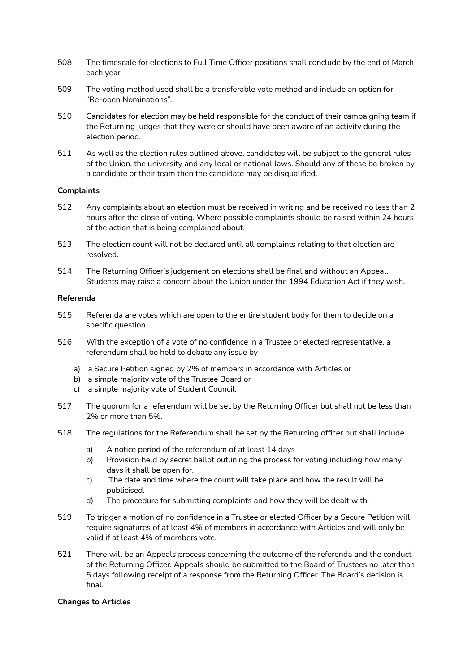- 508 The timescale for elections to Full Time Officer positions shall conclude by the end of March each year.
- 509 The voting method used shall be a transferable vote method and include an option for "Re-open Nominations".
- 510 Candidates for election may be held responsible for the conduct of their campaigning team if the Returning judges that they were or should have been aware of an activity during the election period.
- 511 As well as the election rules outlined above, candidates will be subject to the general rules of the Union, the university and any local or national laws. Should any of these be broken by a candidate or their team then the candidate may be disqualified.

## **Complaints**

- 512 Any complaints about an election must be received in writing and be received no less than 2 hours after the close of voting. Where possible complaints should be raised within 24 hours of the action that is being complained about.
- 513 The election count will not be declared until all complaints relating to that election are resolved.
- 514 The Returning Officer's judgement on elections shall be final and without an Appeal. Students may raise a concern about the Union under the 1994 Education Act if they wish.

## **Referenda**

- 515 Referenda are votes which are open to the entire student body for them to decide on a specific question.
- 516 With the exception of a vote of no confidence in a Trustee or elected representative, a referendum shall be held to debate any issue by
	- a) a Secure Petition signed by 2% of members in accordance with Articles or
	- b) a simple majority vote of the Trustee Board or
	- c) a simple majority vote of Student Council.
- 517 The quorum for a referendum will be set by the Returning Officer but shall not be less than 2% or more than 5%.
- 518 The regulations for the Referendum shall be set by the Returning officer but shall include
	- a) A notice period of the referendum of at least 14 days
	- b) Provision held by secret ballot outlining the process for voting including how many days it shall be open for.
	- c) The date and time where the count will take place and how the result will be publicised.
	- d) The procedure for submitting complaints and how they will be dealt with.
- 519 To trigger a motion of no confidence in a Trustee or elected Officer by a Secure Petition will require signatures of at least 4% of members in accordance with Articles and will only be valid if at least 4% of members vote.
- 521 There will be an Appeals process concerning the outcome of the referenda and the conduct of the Returning Officer. Appeals should be submitted to the Board of Trustees no later than 5 days following receipt of a response from the Returning Officer. The Board's decision is final.

## **Changes to Articles**